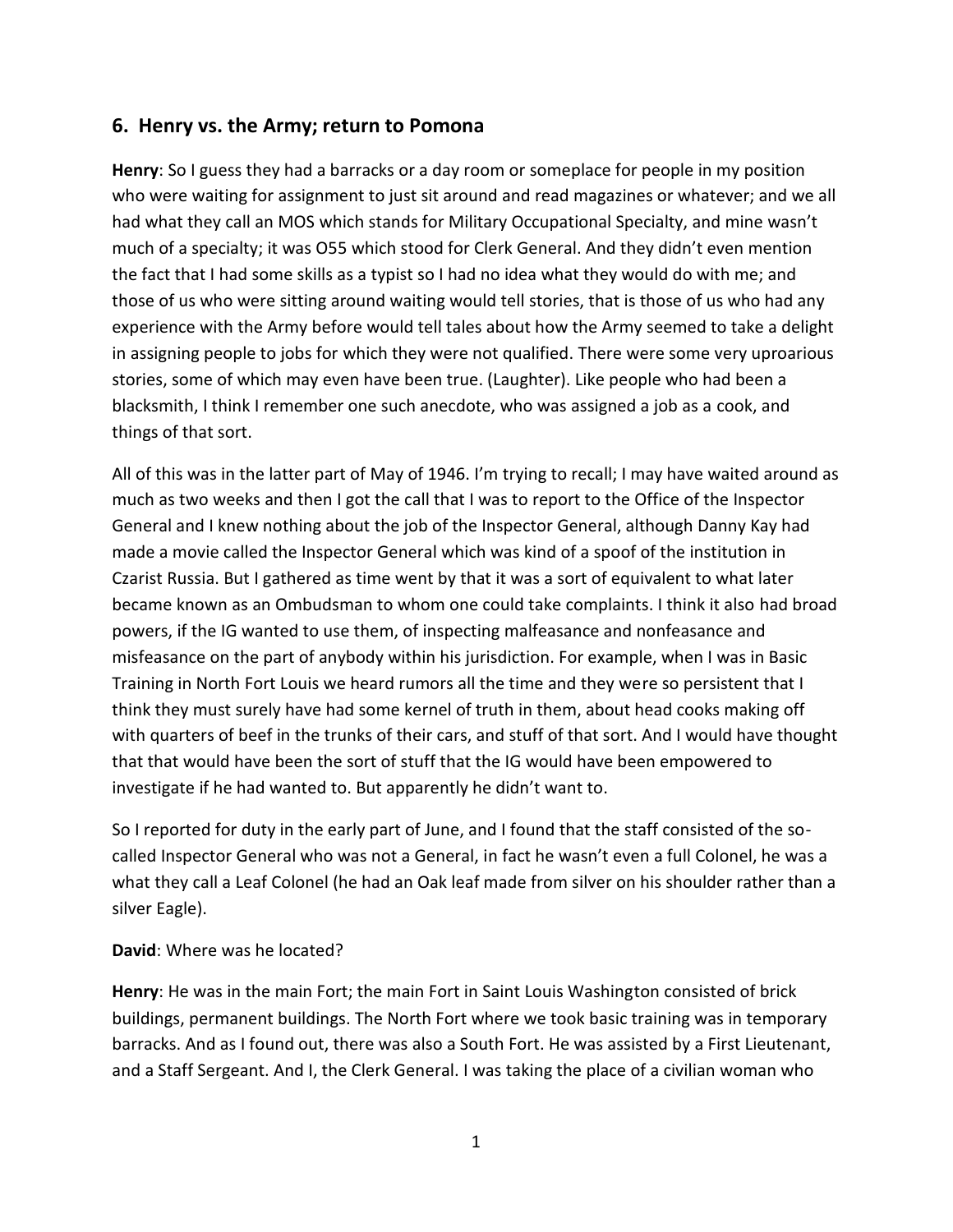## **6. Henry vs. the Army; return to Pomona**

**Henry**: So I guess they had a barracks or a day room or someplace for people in my position who were waiting for assignment to just sit around and read magazines or whatever; and we all had what they call an MOS which stands for Military Occupational Specialty, and mine wasn't much of a specialty; it was O55 which stood for Clerk General. And they didn't even mention the fact that I had some skills as a typist so I had no idea what they would do with me; and those of us who were sitting around waiting would tell stories, that is those of us who had any experience with the Army before would tell tales about how the Army seemed to take a delight in assigning people to jobs for which they were not qualified. There were some very uproarious stories, some of which may even have been true. (Laughter). Like people who had been a blacksmith, I think I remember one such anecdote, who was assigned a job as a cook, and things of that sort.

All of this was in the latter part of May of 1946. I'm trying to recall; I may have waited around as much as two weeks and then I got the call that I was to report to the Office of the Inspector General and I knew nothing about the job of the Inspector General, although Danny Kay had made a movie called the Inspector General which was kind of a spoof of the institution in Czarist Russia. But I gathered as time went by that it was a sort of equivalent to what later became known as an Ombudsman to whom one could take complaints. I think it also had broad powers, if the IG wanted to use them, of inspecting malfeasance and nonfeasance and misfeasance on the part of anybody within his jurisdiction. For example, when I was in Basic Training in North Fort Louis we heard rumors all the time and they were so persistent that I think they must surely have had some kernel of truth in them, about head cooks making off with quarters of beef in the trunks of their cars, and stuff of that sort. And I would have thought that that would have been the sort of stuff that the IG would have been empowered to investigate if he had wanted to. But apparently he didn't want to.

So I reported for duty in the early part of June, and I found that the staff consisted of the so called Inspector General who was not a General, in fact he wasn't even a full Colonel, he was a what they call a Leaf Colonel (he had an Oak leaf made from silver on his shoulder rather than a silver Eagle).

## **David**: Where was he located?

**Henry**: He was in the main Fort; the main Fort in Saint Louis Washington consisted of brick buildings, permanent buildings. The North Fort where we took basic training was in temporary barracks. And as I found out, there was also a South Fort. He was assisted by a First Lieutenant, and a Staff Sergeant. And I, the Clerk General. I was taking the place of a civilian woman who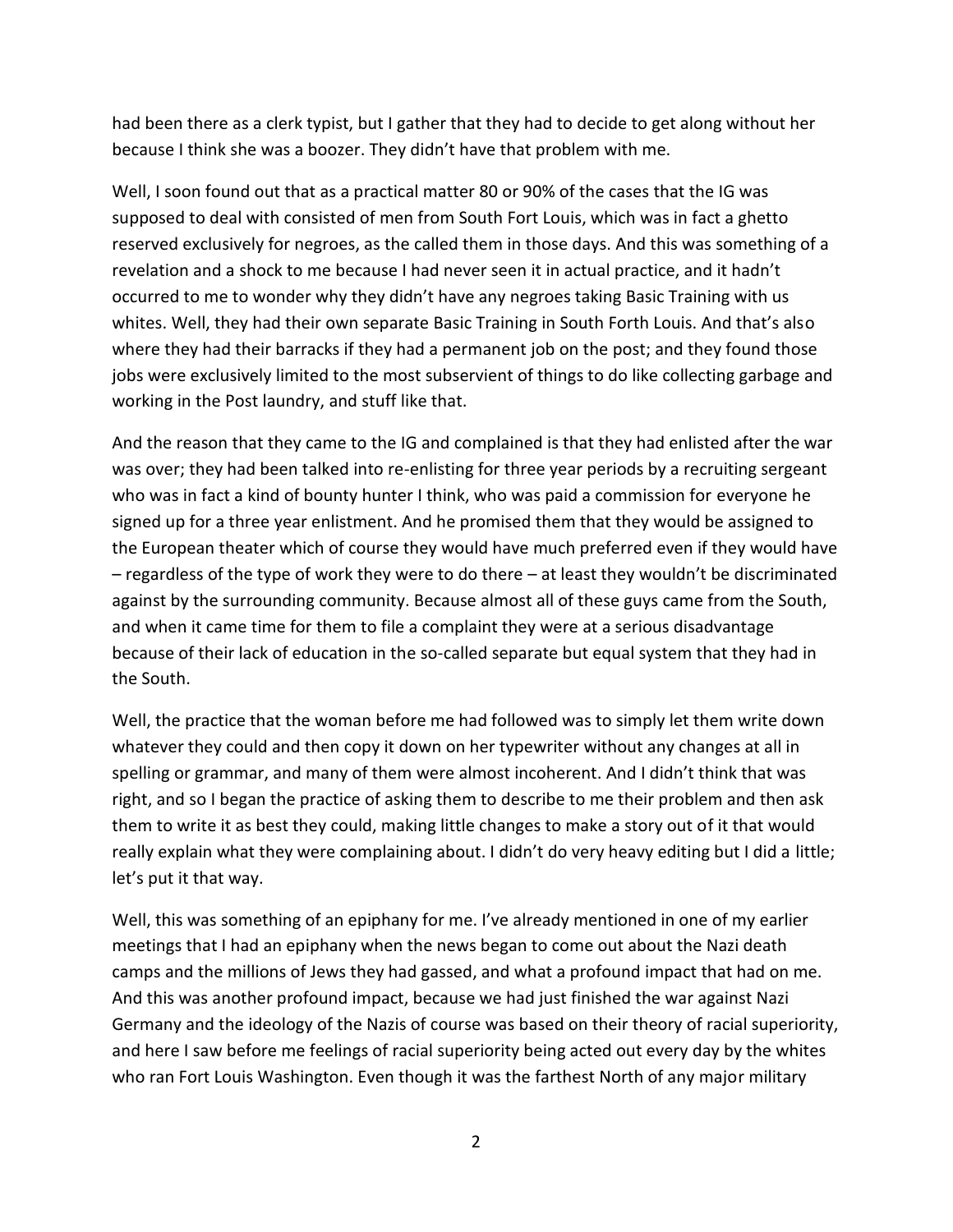had been there as a clerk typist, but I gather that they had to decide to get along without her because I think she was a boozer. They didn't have that problem with me.

Well, I soon found out that as a practical matter 80 or 90% of the cases that the IG was supposed to deal with consisted of men from South Fort Louis, which was in fact a ghetto reserved exclusively for negroes, as the called them in those days. And this was something of a revelation and a shock to me because I had never seen it in actual practice, and it hadn't occurred to me to wonder why they didn't have any negroes taking Basic Training with us whites. Well, they had their own separate Basic Training in South Forth Louis. And that's also where they had their barracks if they had a permanent job on the post; and they found those jobs were exclusively limited to the most subservient of things to do like collecting garbage and working in the Post laundry, and stuff like that.

And the reason that they came to the IG and complained is that they had enlisted after the war was over; they had been talked into re-enlisting for three year periods by a recruiting sergeant who was in fact a kind of bounty hunter I think, who was paid a commission for everyone he signed up for a three year enlistment. And he promised them that they would be assigned to the European theater which of course they would have much preferred even if they would have – regardless of the type of work they were to do there – at least they wouldn't be discriminated against by the surrounding community. Because almost all of these guys came from the South, and when it came time for them to file a complaint they were at a serious disadvantage because of their lack of education in the so-called separate but equal system that they had in the South.

Well, the practice that the woman before me had followed was to simply let them write down whatever they could and then copy it down on her typewriter without any changes at all in spelling or grammar, and many of them were almost incoherent. And I didn't think that was right, and so I began the practice of asking them to describe to me their problem and then ask them to write it as best they could, making little changes to make a story out of it that would really explain what they were complaining about. I didn't do very heavy editing but I did a little; let's put it that way.

Well, this was something of an epiphany for me. I've already mentioned in one of my earlier meetings that I had an epiphany when the news began to come out about the Nazi death camps and the millions of Jews they had gassed, and what a profound impact that had on me. And this was another profound impact, because we had just finished the war against Nazi Germany and the ideology of the Nazis of course was based on their theory of racial superiority, and here I saw before me feelings of racial superiority being acted out every day by the whites who ran Fort Louis Washington. Even though it was the farthest North of any major military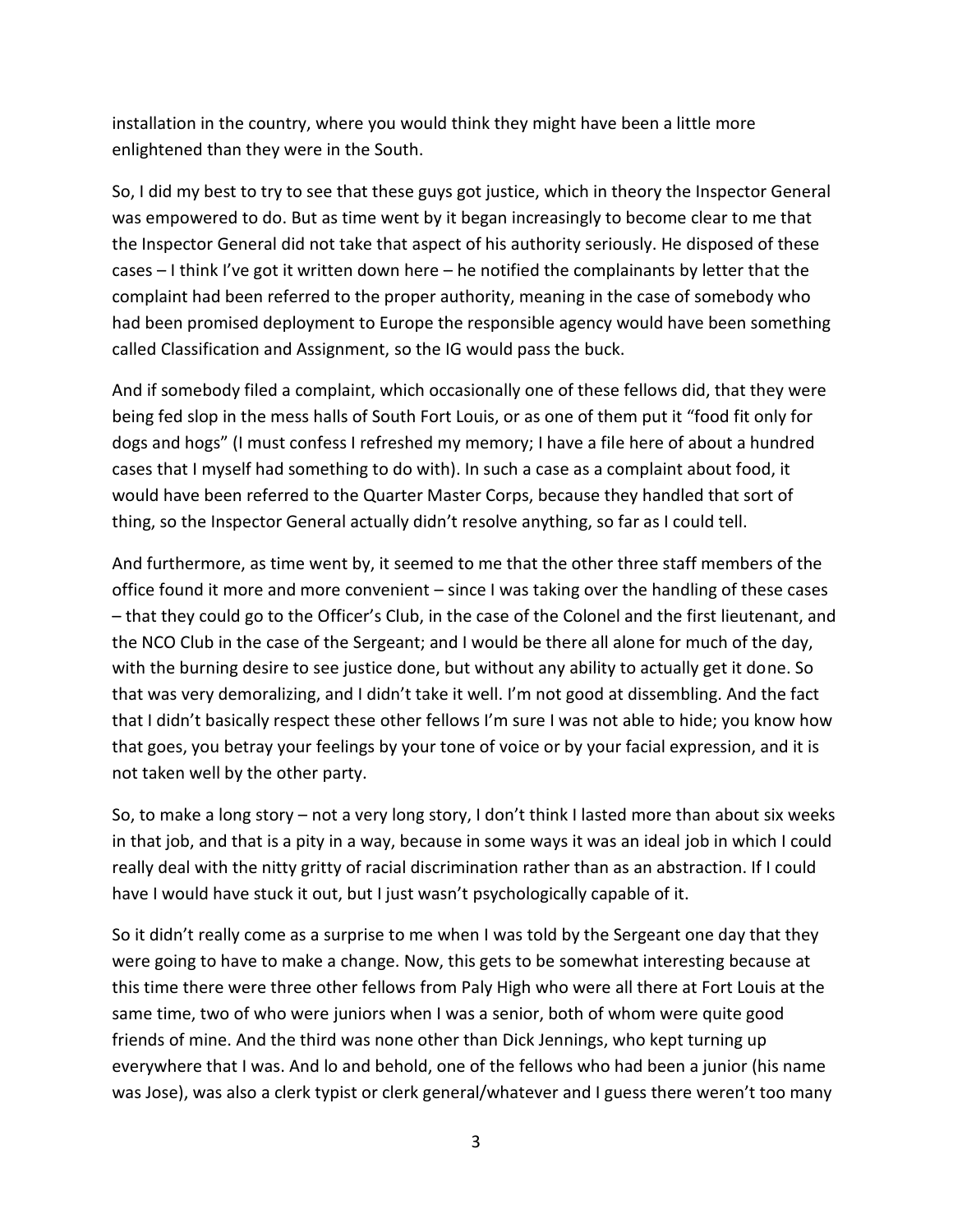installation in the country, where you would think they might have been a little more enlightened than they were in the South.

So, I did my best to try to see that these guys got justice, which in theory the Inspector General was empowered to do. But as time went by it began increasingly to become clear to me that the Inspector General did not take that aspect of his authority seriously. He disposed of these cases – I think I've got it written down here – he notified the complainants by letter that the complaint had been referred to the proper authority, meaning in the case of somebody who had been promised deployment to Europe the responsible agency would have been something called Classification and Assignment, so the IG would pass the buck.

And if somebody filed a complaint, which occasionally one of these fellows did, that they were being fed slop in the mess halls of South Fort Louis, or as one of them put it "food fit only for dogs and hogs" (I must confess I refreshed my memory; I have a file here of about a hundred cases that I myself had something to do with). In such a case as a complaint about food, it would have been referred to the Quarter Master Corps, because they handled that sort of thing, so the Inspector General actually didn't resolve anything, so far as I could tell.

And furthermore, as time went by, it seemed to me that the other three staff members of the office found it more and more convenient – since I was taking over the handling of these cases – that they could go to the Officer's Club, in the case of the Colonel and the first lieutenant, and the NCO Club in the case of the Sergeant; and I would be there all alone for much of the day, with the burning desire to see justice done, but without any ability to actually get it done. So that was very demoralizing, and I didn't take it well. I'm not good at dissembling. And the fact that I didn't basically respect these other fellows I'm sure I was not able to hide; you know how that goes, you betray your feelings by your tone of voice or by your facial expression, and it is not taken well by the other party.

So, to make a long story – not a very long story, I don't think I lasted more than about six weeks in that job, and that is a pity in a way, because in some ways it was an ideal job in which I could really deal with the nitty gritty of racial discrimination rather than as an abstraction. If I could have I would have stuck it out, but I just wasn't psychologically capable of it.

So it didn't really come as a surprise to me when I was told by the Sergeant one day that they were going to have to make a change. Now, this gets to be somewhat interesting because at this time there were three other fellows from Paly High who were all there at Fort Louis at the same time, two of who were juniors when I was a senior, both of whom were quite good friends of mine. And the third was none other than Dick Jennings, who kept turning up everywhere that I was. And lo and behold, one of the fellows who had been a junior (his name was Jose), was also a clerk typist or clerk general/whatever and I guess there weren't too many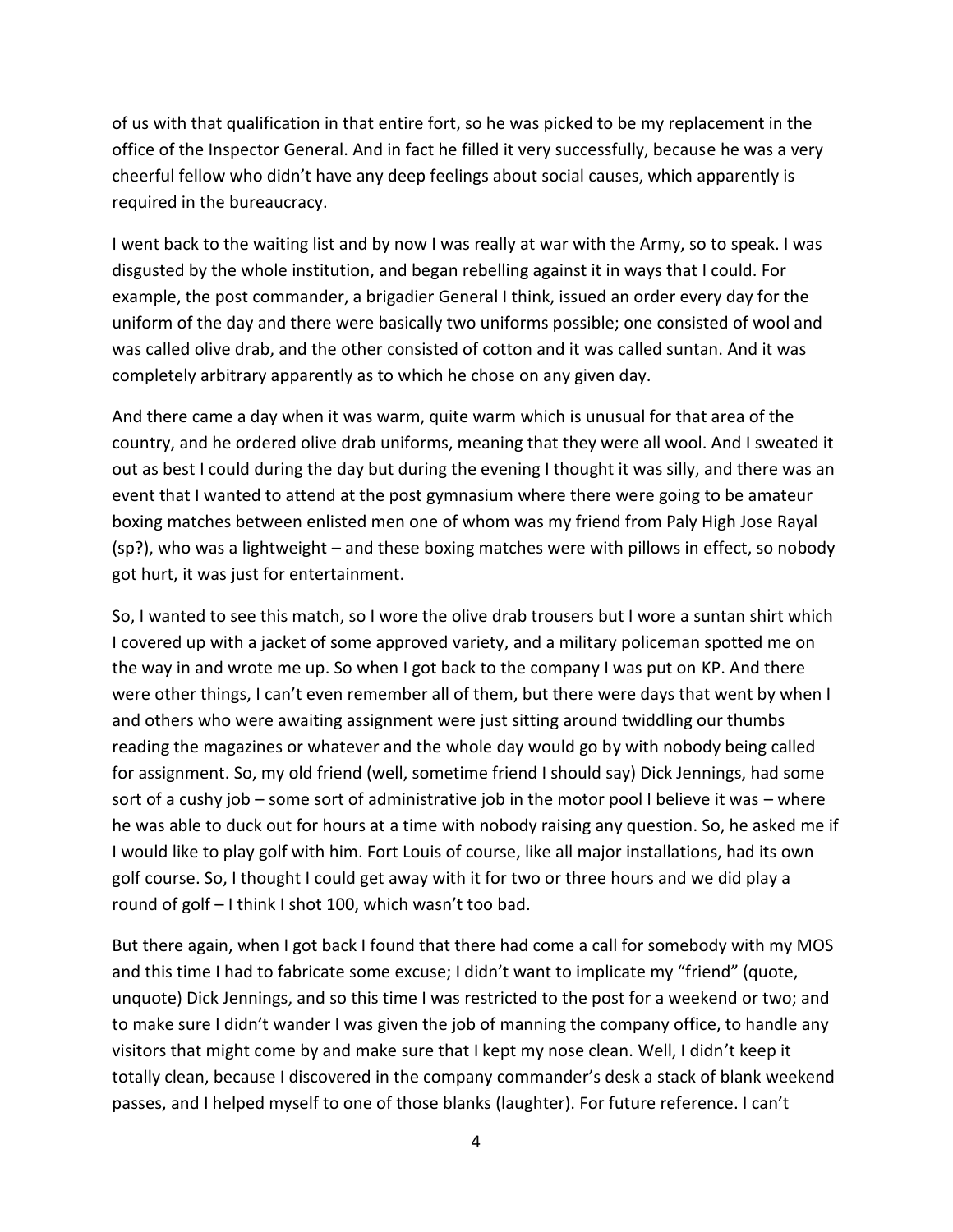of us with that qualification in that entire fort, so he was picked to be my replacement in the office of the Inspector General. And in fact he filled it very successfully, because he was a very cheerful fellow who didn't have any deep feelings about social causes, which apparently is required in the bureaucracy.

I went back to the waiting list and by now I was really at war with the Army, so to speak. I was disgusted by the whole institution, and began rebelling against it in ways that I could. For example, the post commander, a brigadier General I think, issued an order every day for the uniform of the day and there were basically two uniforms possible; one consisted of wool and was called olive drab, and the other consisted of cotton and it was called suntan. And it was completely arbitrary apparently as to which he chose on any given day.

And there came a day when it was warm, quite warm which is unusual for that area of the country, and he ordered olive drab uniforms, meaning that they were all wool. And I sweated it out as best I could during the day but during the evening I thought it was silly, and there was an event that I wanted to attend at the post gymnasium where there were going to be amateur boxing matches between enlisted men one of whom was my friend from Paly High Jose Rayal (sp?), who was a lightweight – and these boxing matches were with pillows in effect, so nobody got hurt, it was just for entertainment.

So, I wanted to see this match, so I wore the olive drab trousers but I wore a suntan shirt which I covered up with a jacket of some approved variety, and a military policeman spotted me on the way in and wrote me up. So when I got back to the company I was put on KP. And there were other things, I can't even remember all of them, but there were days that went by when I and others who were awaiting assignment were just sitting around twiddling our thumbs reading the magazines or whatever and the whole day would go by with nobody being called for assignment. So, my old friend (well, sometime friend I should say) Dick Jennings, had some sort of a cushy job – some sort of administrative job in the motor pool I believe it was – where he was able to duck out for hours at a time with nobody raising any question. So, he asked me if I would like to play golf with him. Fort Louis of course, like all major installations, had its own golf course. So, I thought I could get away with it for two or three hours and we did play a round of golf – I think I shot 100, which wasn't too bad.

But there again, when I got back I found that there had come a call for somebody with my MOS and this time I had to fabricate some excuse; I didn't want to implicate my "friend" (quote, unquote) Dick Jennings, and so this time I was restricted to the post for a weekend or two; and to make sure I didn't wander I was given the job of manning the company office, to handle any visitors that might come by and make sure that I kept my nose clean. Well, I didn't keep it totally clean, because I discovered in the company commander's desk a stack of blank weekend passes, and I helped myself to one of those blanks (laughter). For future reference. I can't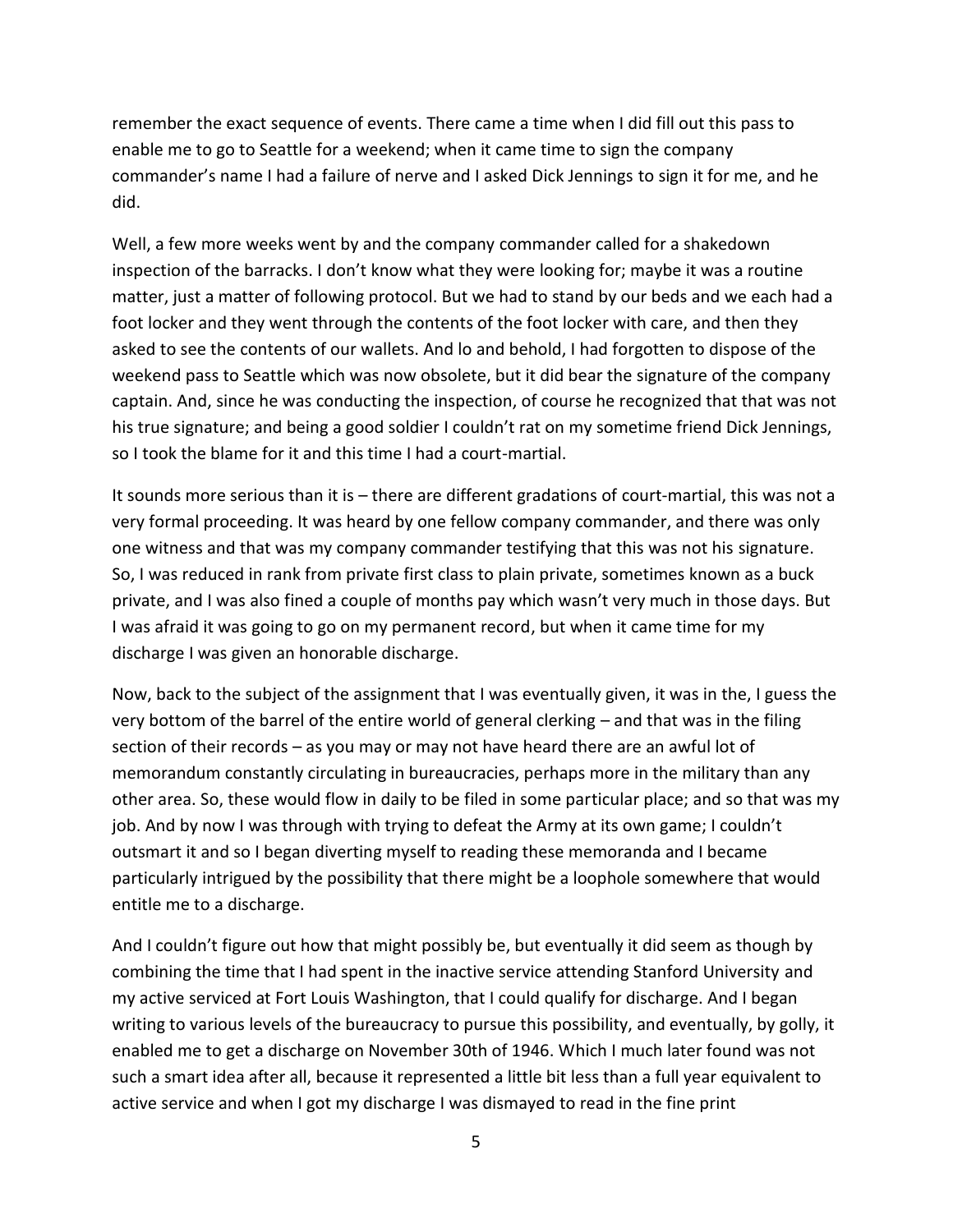remember the exact sequence of events. There came a time when I did fill out this pass to enable me to go to Seattle for a weekend; when it came time to sign the company commander's name I had a failure of nerve and I asked Dick Jennings to sign it for me, and he did.

Well, a few more weeks went by and the company commander called for a shakedown inspection of the barracks. I don't know what they were looking for; maybe it was a routine matter, just a matter of following protocol. But we had to stand by our beds and we each had a foot locker and they went through the contents of the foot locker with care, and then they asked to see the contents of our wallets. And lo and behold, I had forgotten to dispose of the weekend pass to Seattle which was now obsolete, but it did bear the signature of the company captain. And, since he was conducting the inspection, of course he recognized that that was not his true signature; and being a good soldier I couldn't rat on my sometime friend Dick Jennings, so I took the blame for it and this time I had a court-martial.

It sounds more serious than it is – there are different gradations of court-martial, this was not a very formal proceeding. It was heard by one fellow company commander, and there was only one witness and that was my company commander testifying that this was not his signature. So, I was reduced in rank from private first class to plain private, sometimes known as a buck private, and I was also fined a couple of months pay which wasn't very much in those days. But I was afraid it was going to go on my permanent record, but when it came time for my discharge I was given an honorable discharge.

Now, back to the subject of the assignment that I was eventually given, it was in the, I guess the very bottom of the barrel of the entire world of general clerking – and that was in the filing section of their records – as you may or may not have heard there are an awful lot of memorandum constantly circulating in bureaucracies, perhaps more in the military than any other area. So, these would flow in daily to be filed in some particular place; and so that was my job. And by now I was through with trying to defeat the Army at its own game; I couldn't outsmart it and so I began diverting myself to reading these memoranda and I became particularly intrigued by the possibility that there might be a loophole somewhere that would entitle me to a discharge.

And I couldn't figure out how that might possibly be, but eventually it did seem as though by combining the time that I had spent in the inactive service attending Stanford University and my active serviced at Fort Louis Washington, that I could qualify for discharge. And I began writing to various levels of the bureaucracy to pursue this possibility, and eventually, by golly, it enabled me to get a discharge on November 30th of 1946. Which I much later found was not such a smart idea after all, because it represented a little bit less than a full year equivalent to active service and when I got my discharge I was dismayed to read in the fine print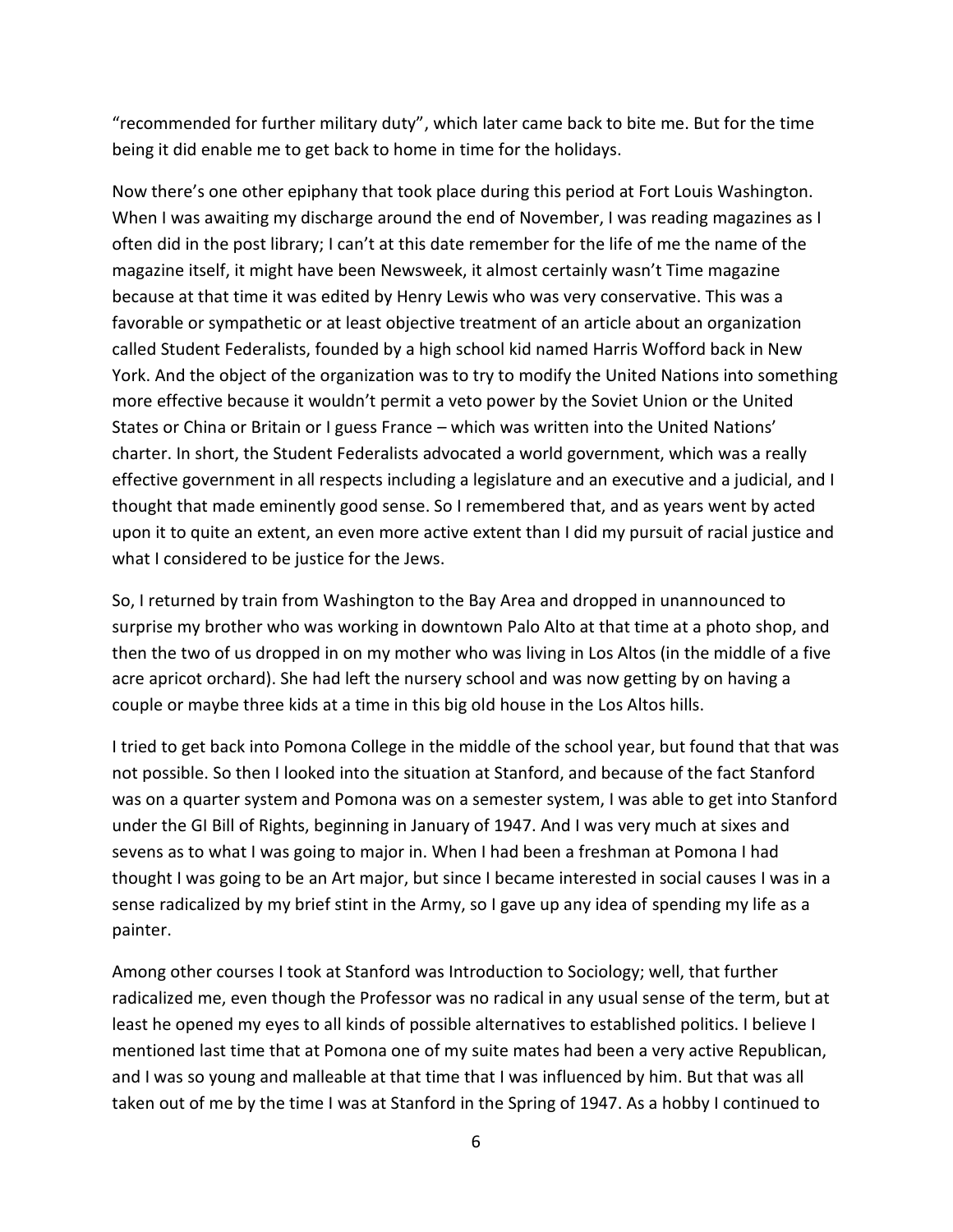"recommended for further military duty", which later came back to bite me. But for the time being it did enable me to get back to home in time for the holidays.

Now there's one other epiphany that took place during this period at Fort Louis Washington. When I was awaiting my discharge around the end of November, I was reading magazines as I often did in the post library; I can't at this date remember for the life of me the name of the magazine itself, it might have been Newsweek, it almost certainly wasn't Time magazine because at that time it was edited by Henry Lewis who was very conservative. This was a favorable or sympathetic or at least objective treatment of an article about an organization called Student Federalists, founded by a high school kid named Harris Wofford back in New York. And the object of the organization was to try to modify the United Nations into something more effective because it wouldn't permit a veto power by the Soviet Union or the United States or China or Britain or I guess France – which was written into the United Nations' charter. In short, the Student Federalists advocated a world government, which was a really effective government in all respects including a legislature and an executive and a judicial, and I thought that made eminently good sense. So I remembered that, and as years went by acted upon it to quite an extent, an even more active extent than I did my pursuit of racial justice and what I considered to be justice for the Jews.

So, I returned by train from Washington to the Bay Area and dropped in unannounced to surprise my brother who was working in downtown Palo Alto at that time at a photo shop, and then the two of us dropped in on my mother who was living in Los Altos (in the middle of a five acre apricot orchard). She had left the nursery school and was now getting by on having a couple or maybe three kids at a time in this big old house in the Los Altos hills.

I tried to get back into Pomona College in the middle of the school year, but found that that was not possible. So then I looked into the situation at Stanford, and because of the fact Stanford was on a quarter system and Pomona was on a semester system, I was able to get into Stanford under the GI Bill of Rights, beginning in January of 1947. And I was very much at sixes and sevens as to what I was going to major in. When I had been a freshman at Pomona I had thought I was going to be an Art major, but since I became interested in social causes I was in a sense radicalized by my brief stint in the Army, so I gave up any idea of spending my life as a painter.

Among other courses I took at Stanford was Introduction to Sociology; well, that further radicalized me, even though the Professor was no radical in any usual sense of the term, but at least he opened my eyes to all kinds of possible alternatives to established politics. I believe I mentioned last time that at Pomona one of my suite mates had been a very active Republican, and I was so young and malleable at that time that I was influenced by him. But that was all taken out of me by the time I was at Stanford in the Spring of 1947. As a hobby I continued to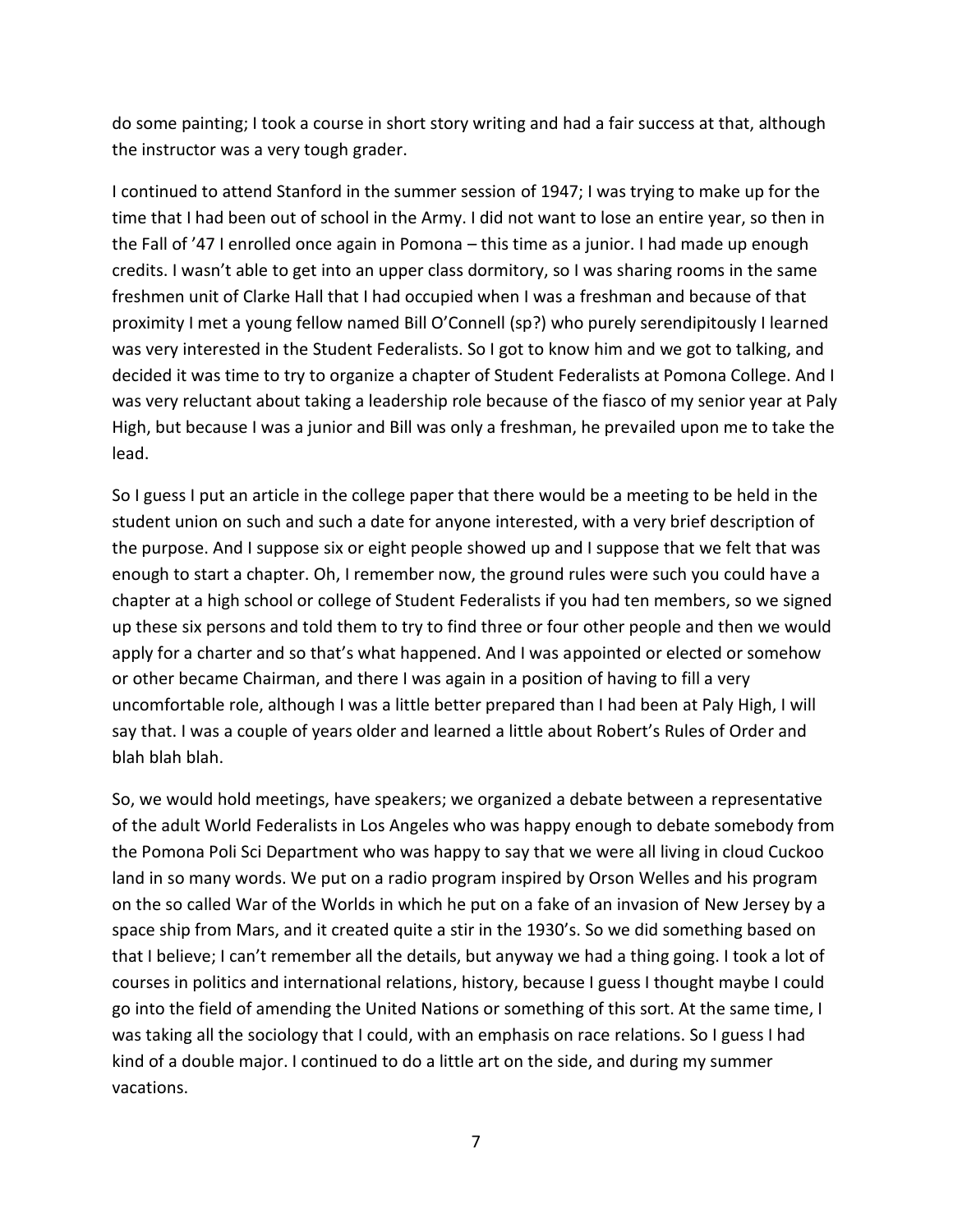do some painting; I took a course in short story writing and had a fair success at that, although the instructor was a very tough grader.

I continued to attend Stanford in the summer session of 1947; I was trying to make up for the time that I had been out of school in the Army. I did not want to lose an entire year, so then in the Fall of '47 I enrolled once again in Pomona – this time as a junior. I had made up enough credits. I wasn't able to get into an upper class dormitory, so I was sharing rooms in the same freshmen unit of Clarke Hall that I had occupied when I was a freshman and because of that proximity I met a young fellow named Bill O'Connell (sp?) who purely serendipitously I learned was very interested in the Student Federalists. So I got to know him and we got to talking, and decided it was time to try to organize a chapter of Student Federalists at Pomona College. And I was very reluctant about taking a leadership role because of the fiasco of my senior year at Paly High, but because I was a junior and Bill was only a freshman, he prevailed upon me to take the lead.

So I guess I put an article in the college paper that there would be a meeting to be held in the student union on such and such a date for anyone interested, with a very brief description of the purpose. And I suppose six or eight people showed up and I suppose that we felt that was enough to start a chapter. Oh, I remember now, the ground rules were such you could have a chapter at a high school or college of Student Federalists if you had ten members, so we signed up these six persons and told them to try to find three or four other people and then we would apply for a charter and so that's what happened. And I was appointed or elected or somehow or other became Chairman, and there I was again in a position of having to fill a very uncomfortable role, although I was a little better prepared than I had been at Paly High, I will say that. I was a couple of years older and learned a little about Robert's Rules of Order and blah blah blah.

So, we would hold meetings, have speakers; we organized a debate between a representative of the adult World Federalists in Los Angeles who was happy enough to debate somebody from the Pomona Poli Sci Department who was happy to say that we were all living in cloud Cuckoo land in so many words. We put on a radio program inspired by Orson Welles and his program on the so called War of the Worlds in which he put on a fake of an invasion of New Jersey by a space ship from Mars, and it created quite a stir in the 1930's. So we did something based on that I believe; I can't remember all the details, but anyway we had a thing going. I took a lot of courses in politics and international relations, history, because I guess I thought maybe I could go into the field of amending the United Nations or something of this sort. At the same time, I was taking all the sociology that I could, with an emphasis on race relations. So I guess I had kind of a double major. I continued to do a little art on the side, and during my summer vacations.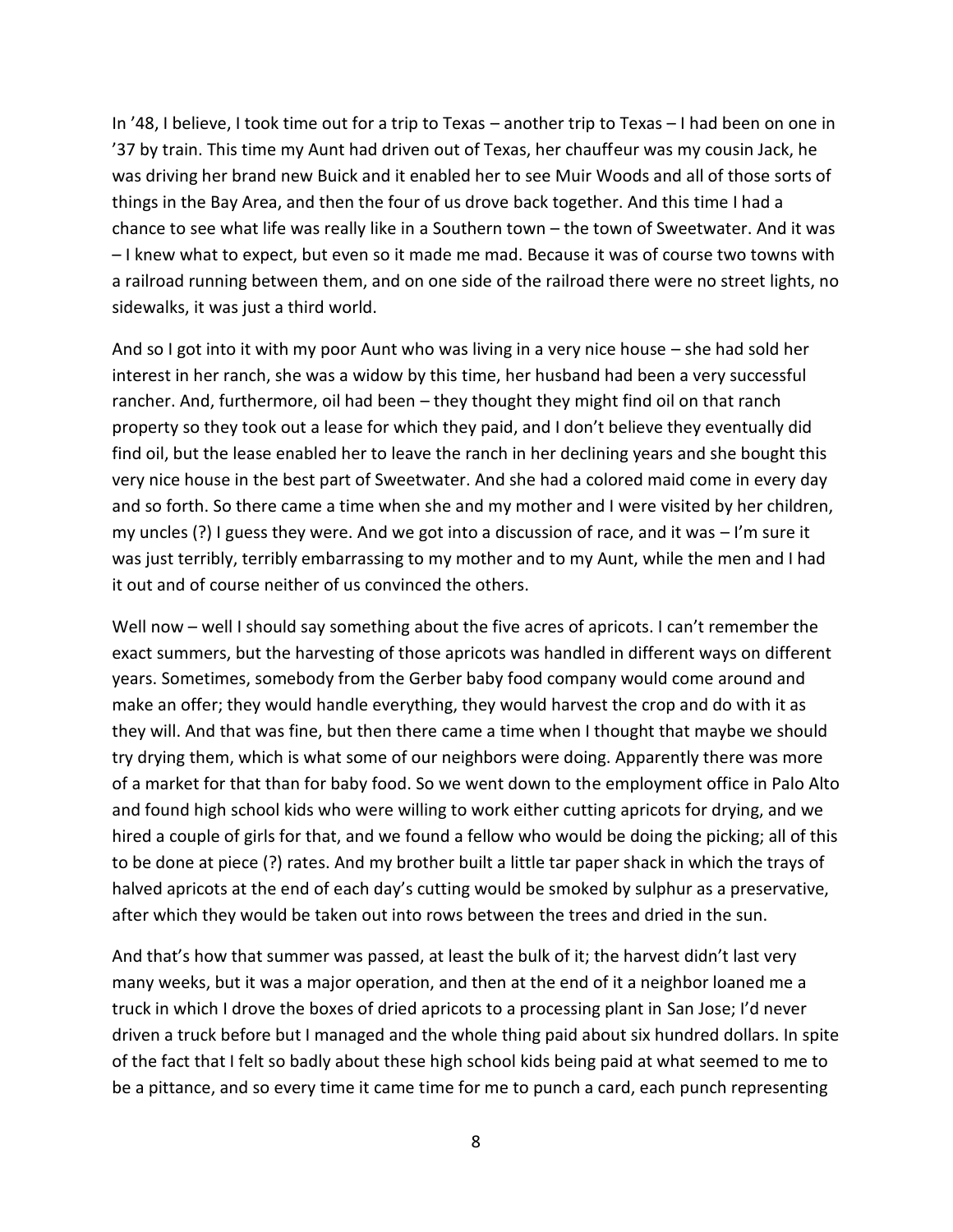In '48, I believe, I took time out for a trip to Texas – another trip to Texas – I had been on one in '37 by train. This time my Aunt had driven out of Texas, her chauffeur was my cousin Jack, he was driving her brand new Buick and it enabled her to see Muir Woods and all of those sorts of things in the Bay Area, and then the four of us drove back together. And this time I had a chance to see what life was really like in a Southern town – the town of Sweetwater. And it was – I knew what to expect, but even so it made me mad. Because it was of course two towns with a railroad running between them, and on one side of the railroad there were no street lights, no sidewalks, it was just a third world.

And so I got into it with my poor Aunt who was living in a very nice house – she had sold her interest in her ranch, she was a widow by this time, her husband had been a very successful rancher. And, furthermore, oil had been – they thought they might find oil on that ranch property so they took out a lease for which they paid, and I don't believe they eventually did find oil, but the lease enabled her to leave the ranch in her declining years and she bought this very nice house in the best part of Sweetwater. And she had a colored maid come in every day and so forth. So there came a time when she and my mother and I were visited by her children, my uncles  $(?)$  I guess they were. And we got into a discussion of race, and it was  $-1$ 'm sure it was just terribly, terribly embarrassing to my mother and to my Aunt, while the men and I had it out and of course neither of us convinced the others.

Well now – well I should say something about the five acres of apricots. I can't remember the exact summers, but the harvesting of those apricots was handled in different ways on different years. Sometimes, somebody from the Gerber baby food company would come around and make an offer; they would handle everything, they would harvest the crop and do with it as they will. And that was fine, but then there came a time when I thought that maybe we should try drying them, which is what some of our neighbors were doing. Apparently there was more of a market for that than for baby food. So we went down to the employment office in Palo Alto and found high school kids who were willing to work either cutting apricots for drying, and we hired a couple of girls for that, and we found a fellow who would be doing the picking; all of this to be done at piece (?) rates. And my brother built a little tar paper shack in which the trays of halved apricots at the end of each day's cutting would be smoked by sulphur as a preservative, after which they would be taken out into rows between the trees and dried in the sun.

And that's how that summer was passed, at least the bulk of it; the harvest didn't last very many weeks, but it was a major operation, and then at the end of it a neighbor loaned me a truck in which I drove the boxes of dried apricots to a processing plant in San Jose; I'd never driven a truck before but I managed and the whole thing paid about six hundred dollars. In spite of the fact that I felt so badly about these high school kids being paid at what seemed to me to be a pittance, and so every time it came time for me to punch a card, each punch representing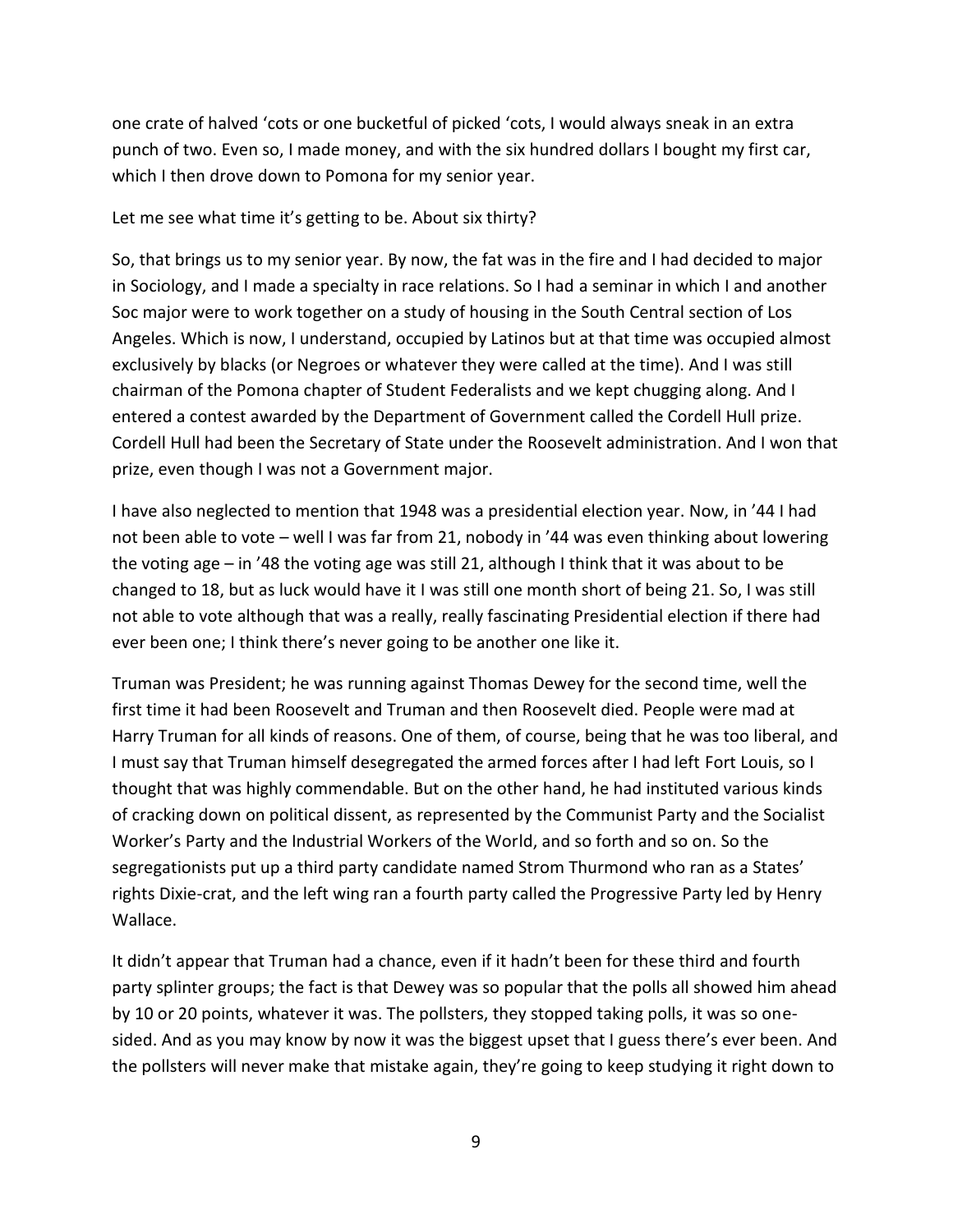one crate of halved 'cots or one bucketful of picked 'cots, I would always sneak in an extra punch of two. Even so, I made money, and with the six hundred dollars I bought my first car, which I then drove down to Pomona for my senior year.

Let me see what time it's getting to be. About six thirty?

So, that brings us to my senior year. By now, the fat was in the fire and I had decided to major in Sociology, and I made a specialty in race relations. So I had a seminar in which I and another Soc major were to work together on a study of housing in the South Central section of Los Angeles. Which is now, I understand, occupied by Latinos but at that time was occupied almost exclusively by blacks (or Negroes or whatever they were called at the time). And I was still chairman of the Pomona chapter of Student Federalists and we kept chugging along. And I entered a contest awarded by the Department of Government called the Cordell Hull prize. Cordell Hull had been the Secretary of State under the Roosevelt administration. And I won that prize, even though I was not a Government major.

I have also neglected to mention that 1948 was a presidential election year. Now, in '44 I had not been able to vote – well I was far from 21, nobody in '44 was even thinking about lowering the voting age – in '48 the voting age was still 21, although I think that it was about to be changed to 18, but as luck would have it I was still one month short of being 21. So, I was still not able to vote although that was a really, really fascinating Presidential election if there had ever been one; I think there's never going to be another one like it.

Truman was President; he was running against Thomas Dewey for the second time, well the first time it had been Roosevelt and Truman and then Roosevelt died. People were mad at Harry Truman for all kinds of reasons. One of them, of course, being that he was too liberal, and I must say that Truman himself desegregated the armed forces after I had left Fort Louis, so I thought that was highly commendable. But on the other hand, he had instituted various kinds of cracking down on political dissent, as represented by the Communist Party and the Socialist Worker's Party and the Industrial Workers of the World, and so forth and so on. So the segregationists put up a third party candidate named Strom Thurmond who ran as a States' rights Dixie-crat, and the left wing ran a fourth party called the Progressive Party led by Henry Wallace.

It didn't appear that Truman had a chance, even if it hadn't been for these third and fourth party splinter groups; the fact is that Dewey was so popular that the polls all showed him ahead by 10 or 20 points, whatever it was. The pollsters, they stopped taking polls, it was so one sided. And as you may know by now it was the biggest upset that I guess there's ever been. And the pollsters will never make that mistake again, they're going to keep studying it right down to